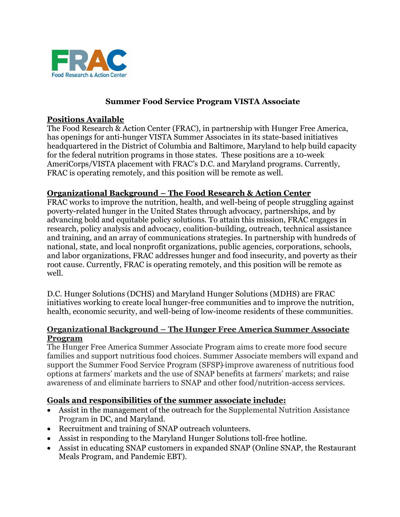

### **Summer Food Service Program VISTA Associate**

### **Positions Available**

The Food Research & Action Center (FRAC), in partnership with Hunger Free America, has openings for anti-hunger VISTA Summer Associates in its state-based initiatives headquartered in the District of Columbia and Baltimore, Maryland to help build capacity for the federal nutrition programs in those states. These positions are a 10-week AmeriCorps/VISTA placement with FRAC's D.C. and Maryland programs. Currently, FRAC is operating remotely, and this position will be remote as well.

### **Organizational Background – The Food Research & Action Center**

FRAC works to improve the nutrition, health, and well-being of people struggling against poverty-related hunger in the United States through advocacy, partnerships, and by advancing bold and equitable policy solutions. To attain this mission, FRAC engages in research, policy analysis and advocacy, coalition-building, outreach, technical assistance and training, and an array of communications strategies. In partnership with hundreds of national, state, and local nonprofit organizations, public agencies, corporations, schools, and labor organizations, FRAC addresses hunger and food insecurity, and poverty as their root cause. Currently, FRAC is operating remotely, and this position will be remote as well.

D.C. Hunger Solutions (DCHS) and Maryland Hunger Solutions (MDHS) are FRAC initiatives working to create local hunger-free communities and to improve the nutrition, health, economic security, and well-being of low-income residents of these communities.

### **Organizational Background – The Hunger Free America Summer Associate Program**

The Hunger Free America Summer Associate Program aims to create more food secure families and support nutritious food choices. Summer Associate members will expand and support the Summer Food Service Program (SFSP) improve awareness of nutritious food options at farmers' markets and the use of SNAP benefits at farmers' markets; and raise awareness of and eliminate barriers to SNAP and other food/nutrition-access services.

### **Goals and responsibilities of the summer associate include:**

- Assist in the management of the outreach for the Supplemental Nutrition Assistance Program in DC, and Maryland.
- Recruitment and training of SNAP outreach volunteers.
- Assist in responding to the Maryland Hunger Solutions toll-free hotline.
- Assist in educating SNAP customers in expanded SNAP (Online SNAP, the Restaurant Meals Program, and Pandemic EBT).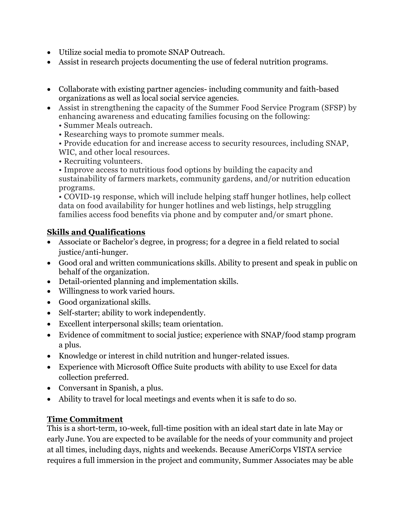- Utilize social media to promote SNAP Outreach.
- Assist in research projects documenting the use of federal nutrition programs.
- Collaborate with existing partner agencies- including community and faith-based organizations as well as local social service agencies.
- Assist in strengthening the capacity of the Summer Food Service Program (SFSP) by enhancing awareness and educating families focusing on the following:
	- Summer Meals outreach.
	- Researching ways to promote summer meals.
	- Provide education for and increase access to security resources, including SNAP, WIC, and other local resources.
	- Recruiting volunteers.
	- Improve access to nutritious food options by building the capacity and sustainability of farmers markets, community gardens, and/or nutrition education programs.

• COVID-19 response, which will include helping staff hunger hotlines, help collect data on food availability for hunger hotlines and web listings, help struggling families access food benefits via phone and by computer and/or smart phone.

## **Skills and Qualifications**

- Associate or Bachelor's degree, in progress; for a degree in a field related to social justice/anti-hunger.
- Good oral and written communications skills. Ability to present and speak in public on behalf of the organization.
- Detail-oriented planning and implementation skills.
- Willingness to work varied hours.
- Good organizational skills.
- Self-starter; ability to work independently.
- Excellent interpersonal skills; team orientation.
- Evidence of commitment to social justice; experience with SNAP/food stamp program a plus.
- Knowledge or interest in child nutrition and hunger-related issues.
- Experience with Microsoft Office Suite products with ability to use Excel for data collection preferred.
- Conversant in Spanish, a plus.
- Ability to travel for local meetings and events when it is safe to do so.

## **Time Commitment**

This is a short-term, 10-week, full-time position with an ideal start date in late May or early June. You are expected to be available for the needs of your community and project at all times, including days, nights and weekends. Because AmeriCorps VISTA service requires a full immersion in the project and community, Summer Associates may be able